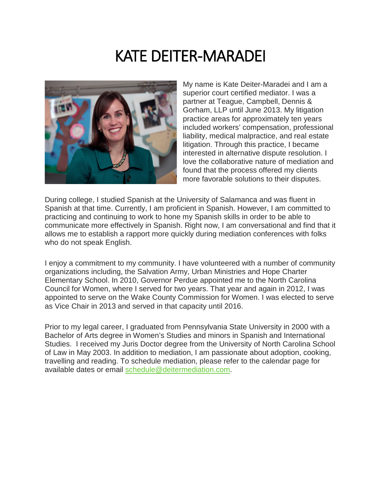# KATE DEITER-MARADEI



My name is Kate Deiter-Maradei and I am a superior court certified mediator. I was a partner at Teague, Campbell, Dennis & Gorham, LLP until June 2013. My litigation practice areas for approximately ten years included workers' compensation, professional liability, medical malpractice, and real estate litigation. Through this practice, I became interested in alternative dispute resolution. I love the collaborative nature of mediation and found that the process offered my clients more favorable solutions to their disputes.

During college, I studied Spanish at the University of Salamanca and was fluent in Spanish at that time. Currently, I am proficient in Spanish. However, I am committed to practicing and continuing to work to hone my Spanish skills in order to be able to communicate more effectively in Spanish. Right now, I am conversational and find that it allows me to establish a rapport more quickly during mediation conferences with folks who do not speak English.

I enjoy a commitment to my community. I have volunteered with a number of community organizations including, the Salvation Army, Urban Ministries and Hope Charter Elementary School. In 2010, Governor Perdue appointed me to the North Carolina Council for Women, where I served for two years. That year and again in 2012, I was appointed to serve on the Wake County Commission for Women. I was elected to serve as Vice Chair in 2013 and served in that capacity until 2016.

Prior to my legal career, I graduated from Pennsylvania State University in 2000 with a Bachelor of Arts degree in Women's Studies and minors in Spanish and International Studies. I received my Juris Doctor degree from the University of North Carolina School of Law in May 2003. In addition to mediation, I am passionate about adoption, cooking, travelling and reading. To schedule mediation, please refer to the calendar page for available dates or email [schedule@deitermediation.com.](mailto:schedule@deitermediation.com)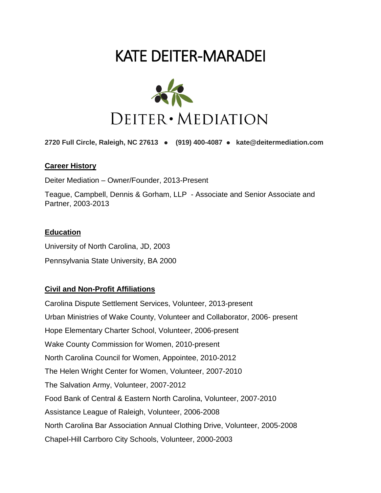# KATE DEITER-MARADEI



**2720 Full Circle, Raleigh, NC 27613** ● **(919) 400-4087** ● **kate@deitermediation.com**

#### **Career History**

Deiter Mediation – Owner/Founder, 2013-Present

Teague, Campbell, Dennis & Gorham, LLP - Associate and Senior Associate and Partner, 2003-2013

#### **Education**

University of North Carolina, JD, 2003 Pennsylvania State University, BA 2000

### **Civil and Non-Profit Affiliations**

Carolina Dispute Settlement Services, Volunteer, 2013-present Urban Ministries of Wake County, Volunteer and Collaborator, 2006- present Hope Elementary Charter School, Volunteer, 2006-present Wake County Commission for Women, 2010-present North Carolina Council for Women, Appointee, 2010-2012 The Helen Wright Center for Women, Volunteer, 2007-2010 The Salvation Army, Volunteer, 2007-2012 Food Bank of Central & Eastern North Carolina, Volunteer, 2007-2010 Assistance League of Raleigh, Volunteer, 2006-2008 North Carolina Bar Association Annual Clothing Drive, Volunteer, 2005-2008 Chapel-Hill Carrboro City Schools, Volunteer, 2000-2003